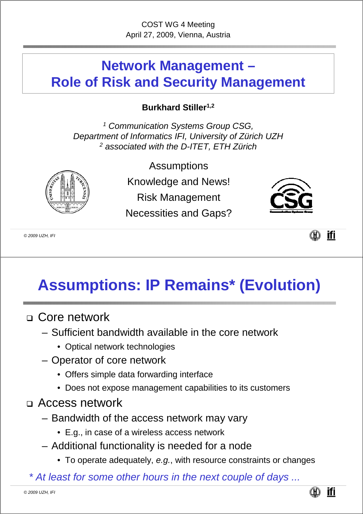#### **Network Management – Role of Risk and Security Management**

**Burkhard Stiller1,2**

*<sup>1</sup> Communication Systems Group CSG, Department of Informatics IFI, University of Zürich UZH <sup>2</sup> associated with the D-ITET, ETH Zürich*

**Assumptions** 

Knowledge and News!

Risk Management

Necessities and Gaps?



*© 2009 UZH, IFI*



# **Assumptions: IP Remains\* (Evolution)**

- Core network
	- Sufficient bandwidth available in the core network
		- Optical network technologies
	- Operator of core network
		- Offers simple data forwarding interface
		- Does not expose management capabilities to its customers
- Access network
	- Bandwidth of the access network may vary
		- E.g., in case of a wireless access network
	- Additional functionality is needed for a node
		- To operate adequately, *e.g.*, with resource constraints or changes

*\* At least for some other hours in the next couple of days ...*

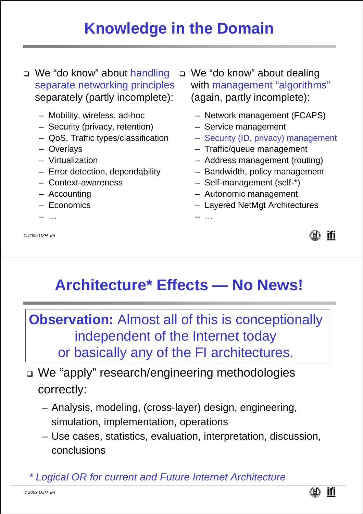#### **Knowledge in the Domain**

□ We "do know" about handling separate networking principles separately (partly incomplete):

- Mobility, wireless, ad-hoc
- Security (privacy, retention)
- QoS, Traffic types/classification
- Overlays
- Virtualization
- Error detection, dependability *...*
- Context-awareness
- Accounting
- Economics
- …

*© 2009 UZH, IFI*

□ We "do know" about dealing with management "algorithms" (again, partly incomplete):

- Network management (FCAPS)
- Service management
- Security (ID, privacy) management
- Traffic/queue management
- Address management (routing)
- Bandwidth, policy management
- Self-management (self-\*)
- Autonomic management
- Layered NetMgt Architectures

– …



# **Architecture\* Effects — No News!**

**Observation:** Almost all of this is conceptionally independent of the Internet today or basically any of the FI architectures.

- We "apply" research/engineering methodologies correctly:
	- Analysis, modeling, (cross-layer) design, engineering, simulation, implementation, operations
	- Use cases, statistics, evaluation, interpretation, discussion, conclusions

*\* Logical OR for current and Future Internet Architecture*

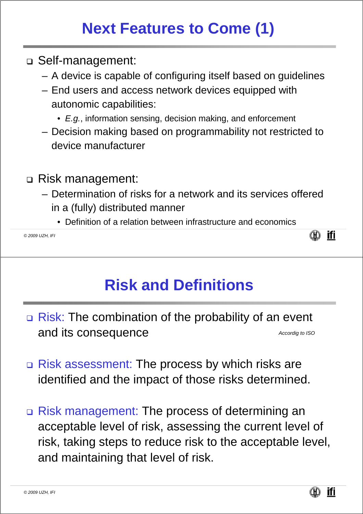# **Next Features to Come (1)**

- Self-management:
	- A device is capable of configuring itself based on guidelines
	- End users and access network devices equipped with autonomic capabilities:
		- *E.g.*, information sensing, decision making, and enforcement
	- Decision making based on programmability not restricted to device manufacturer
- Risk management:
	- Determination of risks for a network and its services offered in a (fully) distributed manner
		- Definition of a relation between infrastructure and economics

*© 2009 UZH, IFI*

# **Risk and Definitions**

- Risk: The combination of the probability of an event and its consequence *Accordig to ISO*
- □ Risk assessment: The process by which risks are identified and the impact of those risks determined.
- Risk management: The process of determining an acceptable level of risk, assessing the current level of risk, taking steps to reduce risk to the acceptable level, and maintaining that level of risk.



(N) ifi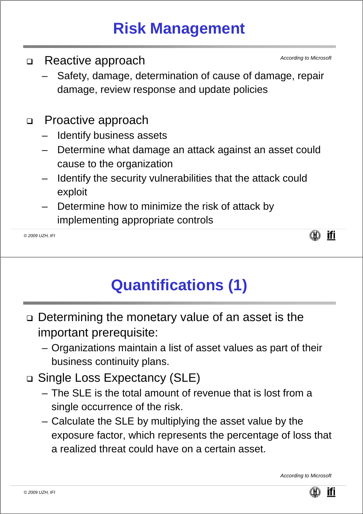## **Risk Management**

- □ Reactive approach
	- Safety, damage, determination of cause of damage, repair damage, review response and update policies
- D Proactive approach
	- Identify business assets
	- Determine what damage an attack against an asset could cause to the organization
	- Identify the security vulnerabilities that the attack could exploit
	- Determine how to minimize the risk of attack by implementing appropriate controls

*© 2009 UZH, IFI*



*According to Microsoft*

# **Quantifications (1)**

- Determining the monetary value of an asset is the important prerequisite:
	- Organizations maintain a list of asset values as part of their business continuity plans.
- Single Loss Expectancy (SLE)
	- The SLE is the total amount of revenue that is lost from a single occurrence of the risk.
	- Calculate the SLE by multiplying the asset value by the exposure factor, which represents the percentage of loss that a realized threat could have on a certain asset.

*According to Microsoft*

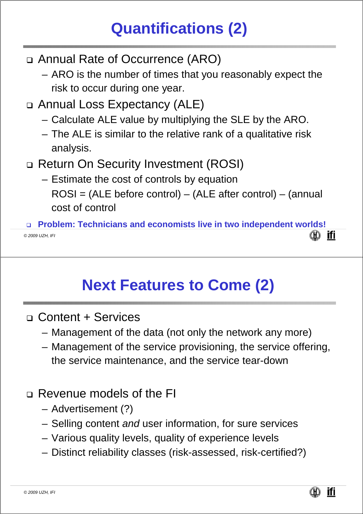# **Quantifications (2)**

- Annual Rate of Occurrence (ARO)
	- ARO is the number of times that you reasonably expect the risk to occur during one year.
- Annual Loss Expectancy (ALE)
	- Calculate ALE value by multiplying the SLE by the ARO.
	- The ALE is similar to the relative rank of a qualitative risk analysis.
- Return On Security Investment (ROSI)
	- Estimate the cost of controls by equation ROSI = (ALE before control) – (ALE after control) – (annual cost of control

 **Problem: Technicians and economists live in two independent worlds! ifi** *© 2009 UZH, IFI*

### **Next Features to Come (2)**

- Content + Services
	- Management of the data (not only the network any more)
	- Management of the service provisioning, the service offering, the service maintenance, and the service tear-down
- Revenue models of the FI
	- Advertisement (?)
	- Selling content *and* user information, for sure services
	- Various quality levels, quality of experience levels
	- Distinct reliability classes (risk-assessed, risk-certified?)